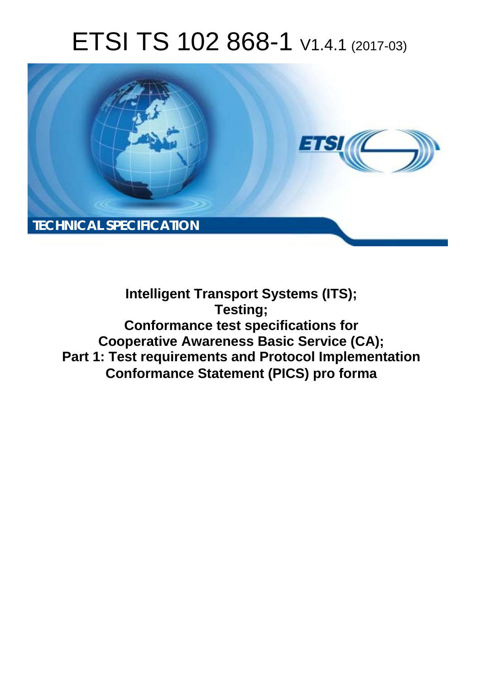# ETSI TS 102 868-1 V1.4.1 (2017-03)



**Intelligent Transport Systems (ITS); Testing; Conformance test specifications for Cooperative Awareness Basic Service (CA); Part 1: Test requirements and Protocol Implementation Conformance Statement (PICS) pro forma**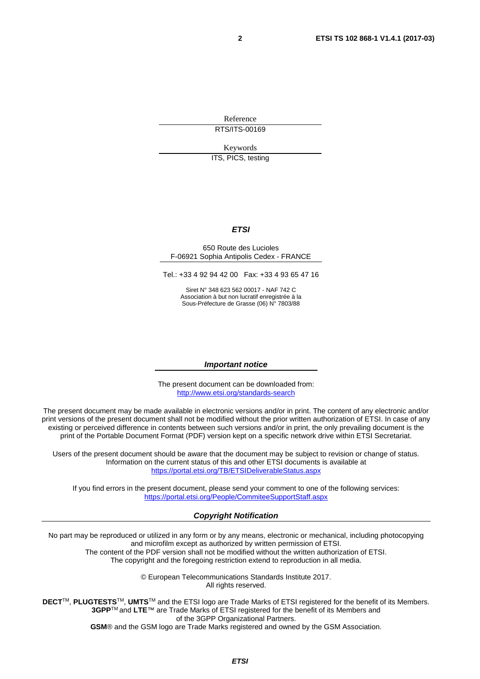Reference RTS/ITS-00169

Keywords

ITS, PICS, testing

#### *ETSI*

#### 650 Route des Lucioles F-06921 Sophia Antipolis Cedex - FRANCE

Tel.: +33 4 92 94 42 00 Fax: +33 4 93 65 47 16

Siret N° 348 623 562 00017 - NAF 742 C Association à but non lucratif enregistrée à la Sous-Préfecture de Grasse (06) N° 7803/88

#### *Important notice*

The present document can be downloaded from: <http://www.etsi.org/standards-search>

The present document may be made available in electronic versions and/or in print. The content of any electronic and/or print versions of the present document shall not be modified without the prior written authorization of ETSI. In case of any existing or perceived difference in contents between such versions and/or in print, the only prevailing document is the print of the Portable Document Format (PDF) version kept on a specific network drive within ETSI Secretariat.

Users of the present document should be aware that the document may be subject to revision or change of status. Information on the current status of this and other ETSI documents is available at <https://portal.etsi.org/TB/ETSIDeliverableStatus.aspx>

If you find errors in the present document, please send your comment to one of the following services: <https://portal.etsi.org/People/CommiteeSupportStaff.aspx>

#### *Copyright Notification*

No part may be reproduced or utilized in any form or by any means, electronic or mechanical, including photocopying and microfilm except as authorized by written permission of ETSI.

The content of the PDF version shall not be modified without the written authorization of ETSI. The copyright and the foregoing restriction extend to reproduction in all media.

> © European Telecommunications Standards Institute 2017. All rights reserved.

**DECT**TM, **PLUGTESTS**TM, **UMTS**TM and the ETSI logo are Trade Marks of ETSI registered for the benefit of its Members. **3GPP**TM and **LTE**™ are Trade Marks of ETSI registered for the benefit of its Members and of the 3GPP Organizational Partners.

**GSM**® and the GSM logo are Trade Marks registered and owned by the GSM Association.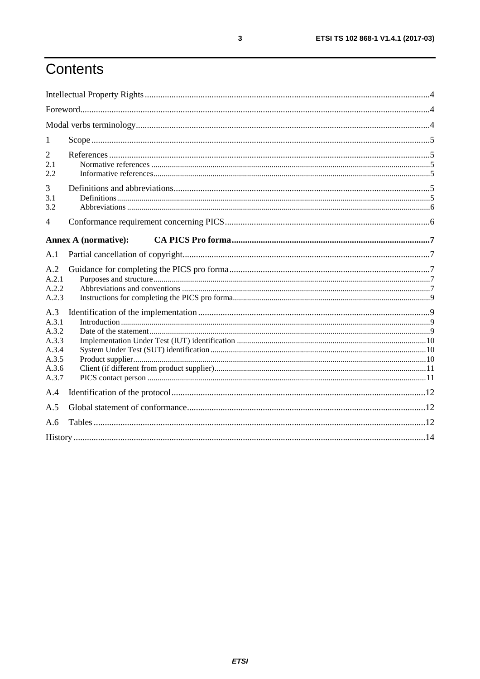# Contents

| 1                                                                  |                             |  |
|--------------------------------------------------------------------|-----------------------------|--|
| $\overline{2}$<br>2.1<br>2.2                                       |                             |  |
| 3<br>3.1<br>3.2                                                    |                             |  |
| 4                                                                  |                             |  |
|                                                                    | <b>Annex A (normative):</b> |  |
| A.1                                                                |                             |  |
| A.2<br>A.2.1<br>A.2.2<br>A.2.3                                     |                             |  |
| A.3<br>A.3.1<br>A.3.2<br>A.3.3<br>A.3.4<br>A.3.5<br>A.3.6<br>A.3.7 |                             |  |
| A.4                                                                |                             |  |
| A.5                                                                |                             |  |
| A.6                                                                |                             |  |
|                                                                    |                             |  |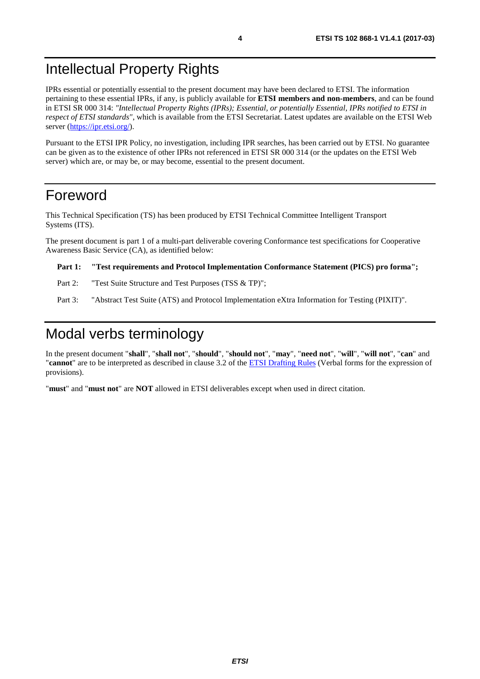# <span id="page-3-0"></span>Intellectual Property Rights

IPRs essential or potentially essential to the present document may have been declared to ETSI. The information pertaining to these essential IPRs, if any, is publicly available for **ETSI members and non-members**, and can be found in ETSI SR 000 314: *"Intellectual Property Rights (IPRs); Essential, or potentially Essential, IPRs notified to ETSI in respect of ETSI standards"*, which is available from the ETSI Secretariat. Latest updates are available on the ETSI Web server (<https://ipr.etsi.org/>).

Pursuant to the ETSI IPR Policy, no investigation, including IPR searches, has been carried out by ETSI. No guarantee can be given as to the existence of other IPRs not referenced in ETSI SR 000 314 (or the updates on the ETSI Web server) which are, or may be, or may become, essential to the present document.

### Foreword

This Technical Specification (TS) has been produced by ETSI Technical Committee Intelligent Transport Systems (ITS).

The present document is part 1 of a multi-part deliverable covering Conformance test specifications for Cooperative Awareness Basic Service (CA), as identified below:

#### **Part 1: "Test requirements and Protocol Implementation Conformance Statement (PICS) pro forma";**

- Part 2: "Test Suite Structure and Test Purposes (TSS & TP)";
- Part 3: "Abstract Test Suite (ATS) and Protocol Implementation eXtra Information for Testing (PIXIT)".

### Modal verbs terminology

In the present document "**shall**", "**shall not**", "**should**", "**should not**", "**may**", "**need not**", "**will**", "**will not**", "**can**" and "**cannot**" are to be interpreted as described in clause 3.2 of the [ETSI Drafting Rules](https://portal.etsi.org/Services/editHelp!/Howtostart/ETSIDraftingRules.aspx) (Verbal forms for the expression of provisions).

"**must**" and "**must not**" are **NOT** allowed in ETSI deliverables except when used in direct citation.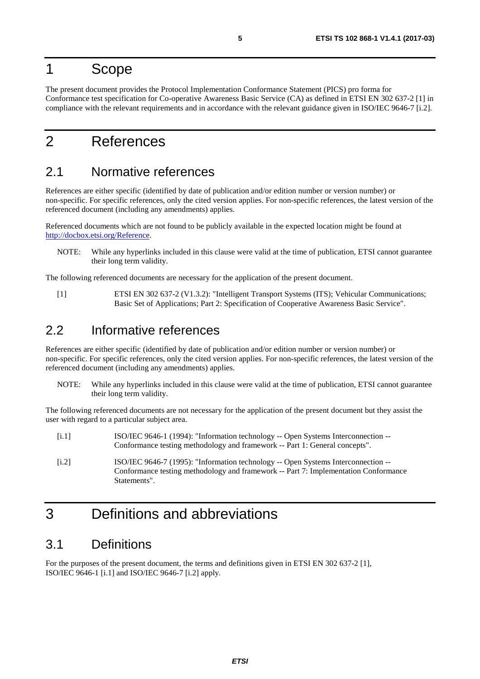### <span id="page-4-0"></span>1 Scope

The present document provides the Protocol Implementation Conformance Statement (PICS) pro forma for Conformance test specification for Co-operative Awareness Basic Service (CA) as defined in ETSI EN 302 637-2 [1] in compliance with the relevant requirements and in accordance with the relevant guidance given in ISO/IEC 9646-7 [i.2].

# 2 References

### 2.1 Normative references

References are either specific (identified by date of publication and/or edition number or version number) or non-specific. For specific references, only the cited version applies. For non-specific references, the latest version of the referenced document (including any amendments) applies.

Referenced documents which are not found to be publicly available in the expected location might be found at <http://docbox.etsi.org/Reference>.

NOTE: While any hyperlinks included in this clause were valid at the time of publication, ETSI cannot guarantee their long term validity.

The following referenced documents are necessary for the application of the present document.

[1] ETSI EN 302 637-2 (V1.3.2): "Intelligent Transport Systems (ITS); Vehicular Communications; Basic Set of Applications; Part 2: Specification of Cooperative Awareness Basic Service".

### 2.2 Informative references

References are either specific (identified by date of publication and/or edition number or version number) or non-specific. For specific references, only the cited version applies. For non-specific references, the latest version of the referenced document (including any amendments) applies.

NOTE: While any hyperlinks included in this clause were valid at the time of publication, ETSI cannot guarantee their long term validity.

The following referenced documents are not necessary for the application of the present document but they assist the user with regard to a particular subject area.

- [i.1] ISO/IEC 9646-1 (1994): "Information technology -- Open Systems Interconnection -- Conformance testing methodology and framework -- Part 1: General concepts".
- [i.2] ISO/IEC 9646-7 (1995): "Information technology -- Open Systems Interconnection -- Conformance testing methodology and framework -- Part 7: Implementation Conformance Statements".

# 3 Definitions and abbreviations

### 3.1 Definitions

For the purposes of the present document, the terms and definitions given in ETSI EN 302 637-2 [1], ISO/IEC 9646-1 [i.1] and ISO/IEC 9646-7 [i.2] apply.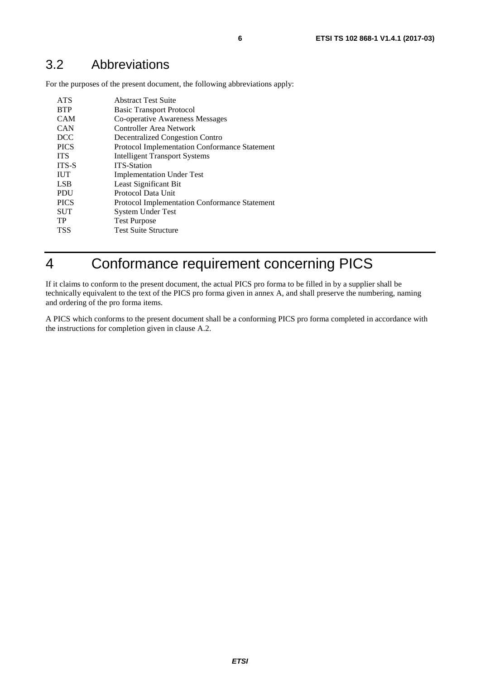<span id="page-5-0"></span>For the purposes of the present document, the following abbreviations apply:

| <b>ATS</b>   | <b>Abstract Test Suite</b>                           |
|--------------|------------------------------------------------------|
| <b>BTP</b>   | <b>Basic Transport Protocol</b>                      |
| <b>CAM</b>   | Co-operative Awareness Messages                      |
| <b>CAN</b>   | Controller Area Network                              |
| <b>DCC</b>   | <b>Decentralized Congestion Contro</b>               |
| <b>PICS</b>  | Protocol Implementation Conformance Statement        |
| <b>ITS</b>   | <b>Intelligent Transport Systems</b>                 |
| <b>ITS-S</b> | <b>ITS-Station</b>                                   |
| <b>IUT</b>   | <b>Implementation Under Test</b>                     |
| <b>LSB</b>   | Least Significant Bit                                |
| <b>PDU</b>   | Protocol Data Unit                                   |
| <b>PICS</b>  | <b>Protocol Implementation Conformance Statement</b> |
| <b>SUT</b>   | <b>System Under Test</b>                             |
| TP           | <b>Test Purpose</b>                                  |
| <b>TSS</b>   | <b>Test Suite Structure</b>                          |
|              |                                                      |

# 4 Conformance requirement concerning PICS

If it claims to conform to the present document, the actual PICS pro forma to be filled in by a supplier shall be technically equivalent to the text of the PICS pro forma given in annex A, and shall preserve the numbering, naming and ordering of the pro forma items.

A PICS which conforms to the present document shall be a conforming PICS pro forma completed in accordance with the instructions for completion given in clause A.2.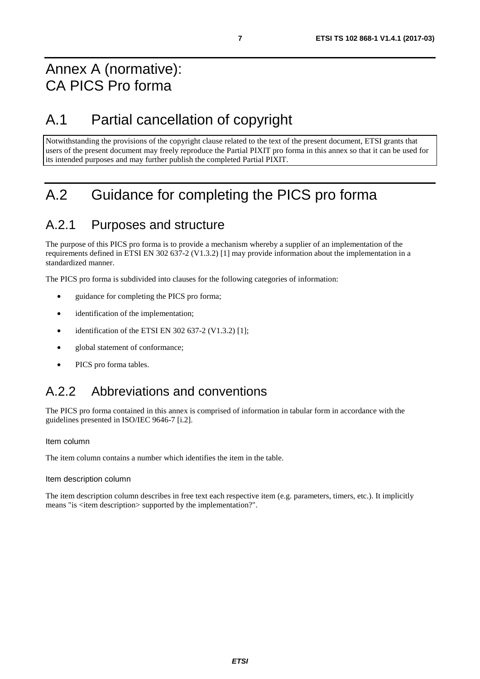# <span id="page-6-0"></span>Annex A (normative): CA PICS Pro forma

# A.1 Partial cancellation of copyright

Notwithstanding the provisions of the copyright clause related to the text of the present document, ETSI grants that users of the present document may freely reproduce the Partial PIXIT pro forma in this annex so that it can be used for its intended purposes and may further publish the completed Partial PIXIT.

# A.2 Guidance for completing the PICS pro forma

### A.2.1 Purposes and structure

The purpose of this PICS pro forma is to provide a mechanism whereby a supplier of an implementation of the requirements defined in ETSI EN 302 637-2 (V1.3.2) [\[1](#page-4-0)] may provide information about the implementation in a standardized manner.

The PICS pro forma is subdivided into clauses for the following categories of information:

- guidance for completing the PICS pro forma;
- identification of the implementation;
- identification of the ETSI EN 302 637-2 (V1.3.2) [\[1](#page-4-0)];
- global statement of conformance;
- PICS pro forma tables.

# A.2.2 Abbreviations and conventions

The PICS pro forma contained in this annex is comprised of information in tabular form in accordance with the guidelines presented in ISO/IEC 9646-7 [\[i.2](#page-4-0)].

#### Item column

The item column contains a number which identifies the item in the table.

#### Item description column

The item description column describes in free text each respective item (e.g. parameters, timers, etc.). It implicitly means "is <item description> supported by the implementation?".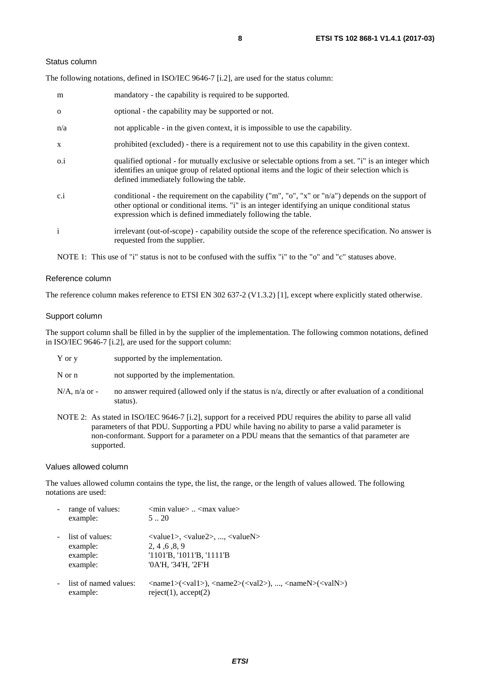#### Status column

The following notations, defined in ISO/IEC 9646-7 [\[i.2](#page-4-0)], are used for the status column:

| m            | mandatory - the capability is required to be supported.                                                                                                                                                                                                               |
|--------------|-----------------------------------------------------------------------------------------------------------------------------------------------------------------------------------------------------------------------------------------------------------------------|
| $\mathbf{O}$ | optional - the capability may be supported or not.                                                                                                                                                                                                                    |
| n/a          | not applicable - in the given context, it is impossible to use the capability.                                                                                                                                                                                        |
| X            | prohibited (excluded) - there is a requirement not to use this capability in the given context.                                                                                                                                                                       |
| $0.\dot{1}$  | qualified optional - for mutually exclusive or selectable options from a set. "i" is an integer which<br>identifies an unique group of related optional items and the logic of their selection which is<br>defined immediately following the table.                   |
| c.i          | conditional - the requirement on the capability ("m", "o", "x" or "n/a") depends on the support of<br>other optional or conditional items. "i" is an integer identifying an unique conditional status<br>expression which is defined immediately following the table. |
| $\mathbf{i}$ | irrelevant (out-of-scope) - capability outside the scope of the reference specification. No answer is<br>requested from the supplier.                                                                                                                                 |

NOTE 1: This use of "i" status is not to be confused with the suffix "i" to the "o" and "c" statuses above.

#### Reference column

The reference column makes reference to ETSI EN 302 637-2 (V1.3.2) [\[1](#page-4-0)], except where explicitly stated otherwise.

#### Support column

The support column shall be filled in by the supplier of the implementation. The following common notations, defined in ISO/IEC 9646-7 [\[i.2](#page-4-0)], are used for the support column:

| Y or y | supported by the implementation. |
|--------|----------------------------------|
|--------|----------------------------------|

N or n not supported by the implementation.

- $N/A$ , n/a or no answer required (allowed only if the status is n/a, directly or after evaluation of a conditional status).
- NOTE 2: As stated in ISO/IEC 9646-7 [\[i.2](#page-4-0)], support for a received PDU requires the ability to parse all valid parameters of that PDU. Supporting a PDU while having no ability to parse a valid parameter is non-conformant. Support for a parameter on a PDU means that the semantics of that parameter are supported.

#### Values allowed column

The values allowed column contains the type, the list, the range, or the length of values allowed. The following notations are used:

| range of values:<br>example:                        | $\leq$ min value $>$ $\leq$ max value $>$<br>520                                                                                                                                                            |
|-----------------------------------------------------|-------------------------------------------------------------------------------------------------------------------------------------------------------------------------------------------------------------|
| list of values:<br>example:<br>example:<br>example: | $\langle \text{value1}\rangle, \langle \text{value2}\rangle, , \langle \text{valueN}\rangle$<br>2, 4, 6, 8, 9<br>$'1101'B$ , $'1011'B$ , $'1111'B$<br>'0A'H, '34'H, '2F'H                                   |
| list of named values:<br>example:                   | $\langle \text{name1}\rangle(\langle \text{val1}\rangle)$ , $\langle \text{name2}\rangle(\langle \text{val2}\rangle)$ , , $\langle \text{nameN}\rangle(\langle \text{valN}\rangle)$<br>reject(1), accept(2) |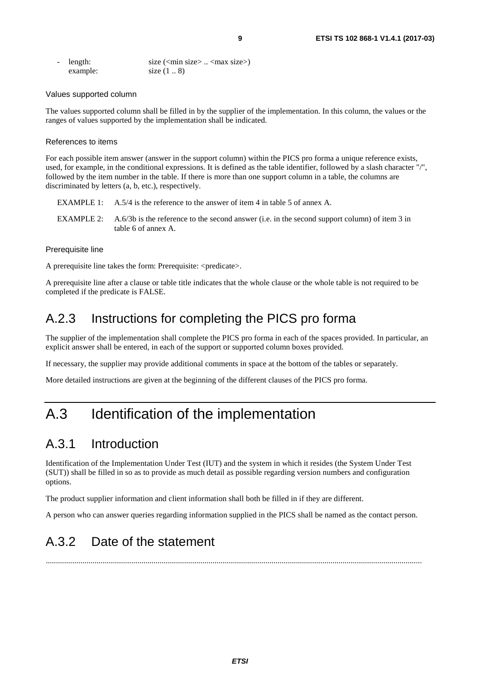<span id="page-8-0"></span>

| - length: | size $(\text{min size} > \dots < \text{max size})$ |
|-----------|----------------------------------------------------|
| example:  | size $(1 \ldots 8)$                                |

#### Values supported column

The values supported column shall be filled in by the supplier of the implementation. In this column, the values or the ranges of values supported by the implementation shall be indicated.

#### References to items

For each possible item answer (answer in the support column) within the PICS pro forma a unique reference exists, used, for example, in the conditional expressions. It is defined as the table identifier, followed by a slash character "/", followed by the item number in the table. If there is more than one support column in a table, the columns are discriminated by letters (a, b, etc.), respectively.

- EXAMPLE 1: A.5/4 is the reference to the answer of item 4 in table 5 of annex A.
- EXAMPLE 2: A.6/3b is the reference to the second answer (i.e. in the second support column) of item 3 in table 6 of annex A.

#### Prerequisite line

A prerequisite line takes the form: Prerequisite: <predicate>.

A prerequisite line after a clause or table title indicates that the whole clause or the whole table is not required to be completed if the predicate is FALSE.

### A.2.3 Instructions for completing the PICS pro forma

The supplier of the implementation shall complete the PICS pro forma in each of the spaces provided. In particular, an explicit answer shall be entered, in each of the support or supported column boxes provided.

If necessary, the supplier may provide additional comments in space at the bottom of the tables or separately.

More detailed instructions are given at the beginning of the different clauses of the PICS pro forma.

# A.3 Identification of the implementation

### A.3.1 Introduction

Identification of the Implementation Under Test (IUT) and the system in which it resides (the System Under Test (SUT)) shall be filled in so as to provide as much detail as possible regarding version numbers and configuration options.

The product supplier information and client information shall both be filled in if they are different.

A person who can answer queries regarding information supplied in the PICS shall be named as the contact person.

# A.3.2 Date of the statement

.........................................................................................................................................................................................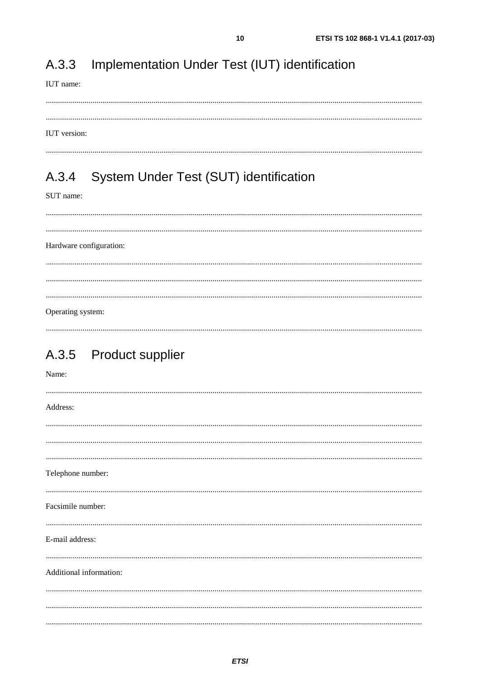#### <span id="page-9-0"></span>Implementation Under Test (IUT) identification A.3.3

#### IUT name:

#### IUT version:

#### System Under Test (SUT) identification A.3.4

#### SUT name:

Hardware configuration: Operating system:

### A.3.5 Product supplier

| Name:                   |
|-------------------------|
| Address:                |
|                         |
|                         |
|                         |
| Telephone number:       |
|                         |
| Facsimile number:       |
| E-mail address:         |
|                         |
| Additional information: |
|                         |
|                         |
|                         |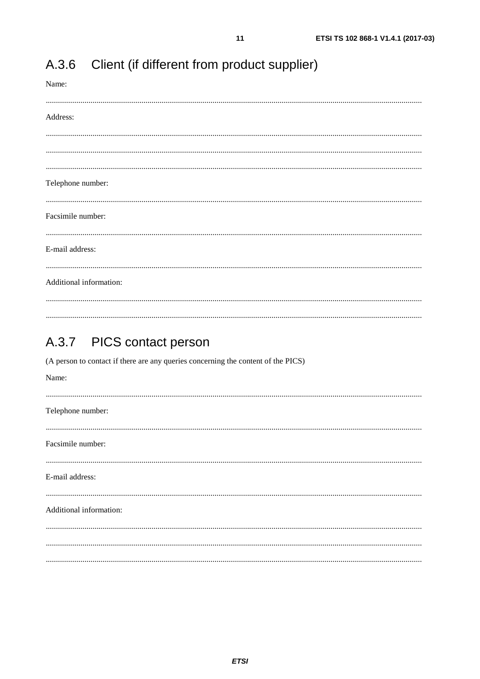| Name:                   |
|-------------------------|
| Address:                |
|                         |
|                         |
| Telephone number:       |
| Facsimile number:       |
| E-mail address:         |
| Additional information: |
|                         |

#### <span id="page-10-0"></span>Client (if different from product supplier) A.3.6

#### PICS contact person  $A.3.7$

(A person to contact if there are any queries concerning the content of the PICS) Name: Telephone number: Facsimile number: E-mail address: Additional information: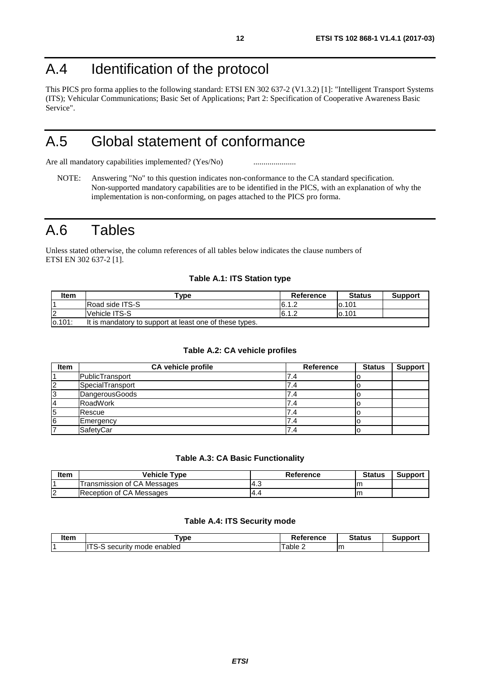# <span id="page-11-0"></span>A.4 Identification of the protocol

This PICS pro forma applies to the following standard: ETSI EN 302 637-2 (V1.3.2) [\[1](#page-4-0)]: "Intelligent Transport Systems (ITS); Vehicular Communications; Basic Set of Applications; Part 2: Specification of Cooperative Awareness Basic Service".

# A.5 Global statement of conformance

Are all mandatory capabilities implemented? (Yes/No) ............................

NOTE: Answering "No" to this question indicates non-conformance to the CA standard specification. Non-supported mandatory capabilities are to be identified in the PICS, with an explanation of why the implementation is non-conforming, on pages attached to the PICS pro forma.

# A.6 Tables

Unless stated otherwise, the column references of all tables below indicates the clause numbers of ETSI EN 302 637-2 [\[1](#page-4-0)].

#### **Table A.1: ITS Station type**

| ltem       | "vpe                                                    | Reference | <b>Status</b> | <b>Support</b> |
|------------|---------------------------------------------------------|-----------|---------------|----------------|
|            | <b>Road side ITS-S</b>                                  | 16.1.∠    | lo.101        |                |
| $\epsilon$ | Vehicle ITS-S                                           | 6.1.2     | 0.101         |                |
| 0.101      | It is mandatory to support at least one of these types. |           |               |                |

#### **Table A.2: CA vehicle profiles**

| <b>Item</b> | <b>CA vehicle profile</b> | Reference | <b>Status</b> | <b>Support</b> |
|-------------|---------------------------|-----------|---------------|----------------|
|             | PublicTransport           | . ד       |               |                |
| 2           | SpecialTransport          | .4        |               |                |
| 3           | DangerousGoods            | .4        |               |                |
| 4           | RoadWork                  | .4        |               |                |
| 5           | Rescue                    | .4        |               |                |
| 16          | Emergency                 |           |               |                |
|             | SafetyCar                 | .4        |               |                |

#### **Table A.3: CA Basic Functionality**

| ltem                     | <b>Vehicle Type</b>         | Reference | <b>Status</b> | Suppor |
|--------------------------|-----------------------------|-----------|---------------|--------|
|                          | Transmission of CA Messages | ن.+"      | .             |        |
| $\sqrt{2}$<br>$\epsilon$ | Reception of CA Messages    | -4.       | .             |        |

#### **Table A.4: ITS Security mode**

| ltem | "vpe                                     | Reference | <b>Status</b> | Support |
|------|------------------------------------------|-----------|---------------|---------|
|      | $-$<br>enabled<br>mode<br>security<br>ञ− | 'able 2   | m             |         |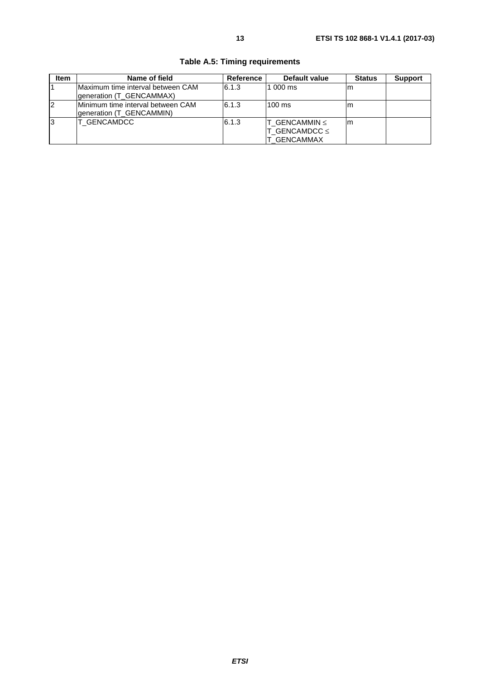| <b>Item</b> | Name of field                                                         | Reference | Default value                                           | <b>Status</b> | <b>Support</b> |
|-------------|-----------------------------------------------------------------------|-----------|---------------------------------------------------------|---------------|----------------|
|             | <b>IMaximum time interval between CAM</b><br>generation (T GENCAMMAX) | 6.1.3     | $1000 \text{ ms}$                                       | m             |                |
| 12          | Minimum time interval between CAM<br>qeneration (T GENCAMMIN)         | 6.1.3     | $100 \text{ ms}$                                        | m             |                |
| IЗ          | IT GENCAMDCC                                                          | 6.1.3     | T GENCAMMIN $\leq$<br>T GENCAMDCC $\leq$<br>T GENCAMMAX | m             |                |

### **Table A.5: Timing requirements**